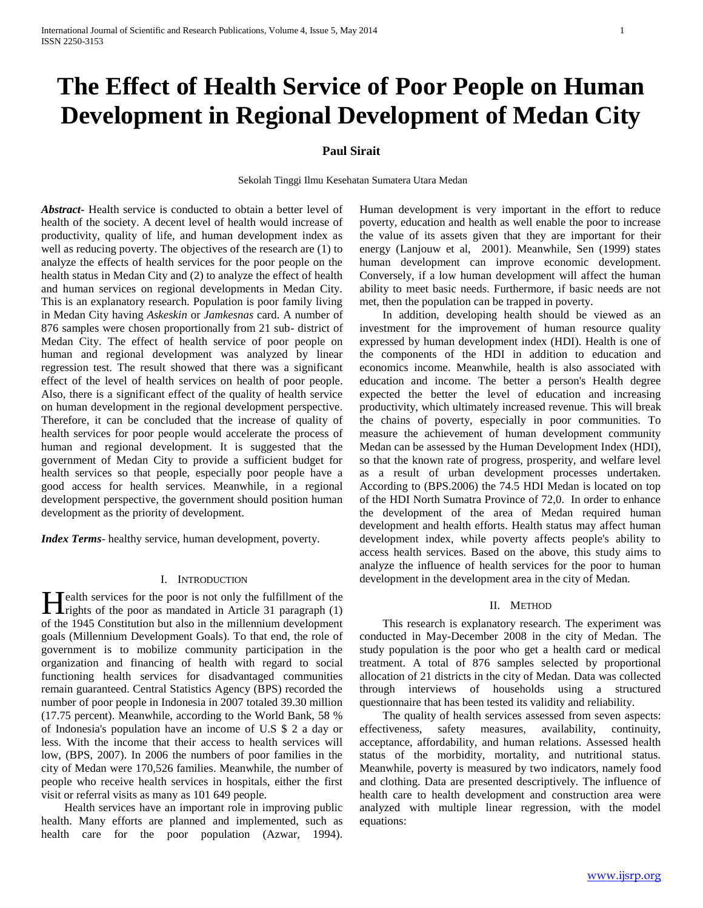# **The Effect of Health Service of Poor People on Human Development in Regional Development of Medan City**

# **Paul Sirait**

Sekolah Tinggi Ilmu Kesehatan Sumatera Utara Medan

*Abstract***-** Health service is conducted to obtain a better level of health of the society. A decent level of health would increase of productivity, quality of life, and human development index as well as reducing poverty. The objectives of the research are (1) to analyze the effects of health services for the poor people on the health status in Medan City and (2) to analyze the effect of health and human services on regional developments in Medan City. This is an explanatory research. Population is poor family living in Medan City having *Askeskin* or *Jamkesnas* card. A number of 876 samples were chosen proportionally from 21 sub- district of Medan City. The effect of health service of poor people on human and regional development was analyzed by linear regression test. The result showed that there was a significant effect of the level of health services on health of poor people. Also, there is a significant effect of the quality of health service on human development in the regional development perspective. Therefore, it can be concluded that the increase of quality of health services for poor people would accelerate the process of human and regional development. It is suggested that the government of Medan City to provide a sufficient budget for health services so that people, especially poor people have a good access for health services. Meanwhile, in a regional development perspective, the government should position human development as the priority of development.

*Index Terms*- healthy service, human development, poverty.

## I. INTRODUCTION

**T**ealth services for the poor is not only the fulfillment of the **F**ealth services for the poor is not only the fulfillment of the rights of the poor as mandated in Article 31 paragraph (1) of the 1945 Constitution but also in the millennium development goals (Millennium Development Goals). To that end, the role of government is to mobilize community participation in the organization and financing of health with regard to social functioning health services for disadvantaged communities remain guaranteed. Central Statistics Agency (BPS) recorded the number of poor people in Indonesia in 2007 totaled 39.30 million (17.75 percent). Meanwhile, according to the World Bank, 58 % of Indonesia's population have an income of U.S \$ 2 a day or less. With the income that their access to health services will low, (BPS, 2007). In 2006 the numbers of poor families in the city of Medan were 170,526 families. Meanwhile, the number of people who receive health services in hospitals, either the first visit or referral visits as many as 101 649 people.

 Health services have an important role in improving public health. Many efforts are planned and implemented, such as health care for the poor population (Azwar, 1994).

Human development is very important in the effort to reduce poverty, education and health as well enable the poor to increase the value of its assets given that they are important for their energy (Lanjouw et al, 2001). Meanwhile, Sen (1999) states human development can improve economic development. Conversely, if a low human development will affect the human ability to meet basic needs. Furthermore, if basic needs are not met, then the population can be trapped in poverty.

 In addition, developing health should be viewed as an investment for the improvement of human resource quality expressed by human development index (HDI). Health is one of the components of the HDI in addition to education and economics income. Meanwhile, health is also associated with education and income. The better a person's Health degree expected the better the level of education and increasing productivity, which ultimately increased revenue. This will break the chains of poverty, especially in poor communities. To measure the achievement of human development community Medan can be assessed by the Human Development Index (HDI), so that the known rate of progress, prosperity, and welfare level as a result of urban development processes undertaken. According to (BPS.2006) the 74.5 HDI Medan is located on top of the HDI North Sumatra Province of 72,0. In order to enhance the development of the area of Medan required human development and health efforts. Health status may affect human development index, while poverty affects people's ability to access health services. Based on the above, this study aims to analyze the influence of health services for the poor to human development in the development area in the city of Medan.

## II. METHOD

 This research is explanatory research. The experiment was conducted in May-December 2008 in the city of Medan. The study population is the poor who get a health card or medical treatment. A total of 876 samples selected by proportional allocation of 21 districts in the city of Medan. Data was collected through interviews of households using a structured questionnaire that has been tested its validity and reliability.

 The quality of health services assessed from seven aspects: effectiveness, safety measures, availability, continuity, acceptance, affordability, and human relations. Assessed health status of the morbidity, mortality, and nutritional status. Meanwhile, poverty is measured by two indicators, namely food and clothing. Data are presented descriptively. The influence of health care to health development and construction area were analyzed with multiple linear regression, with the model equations: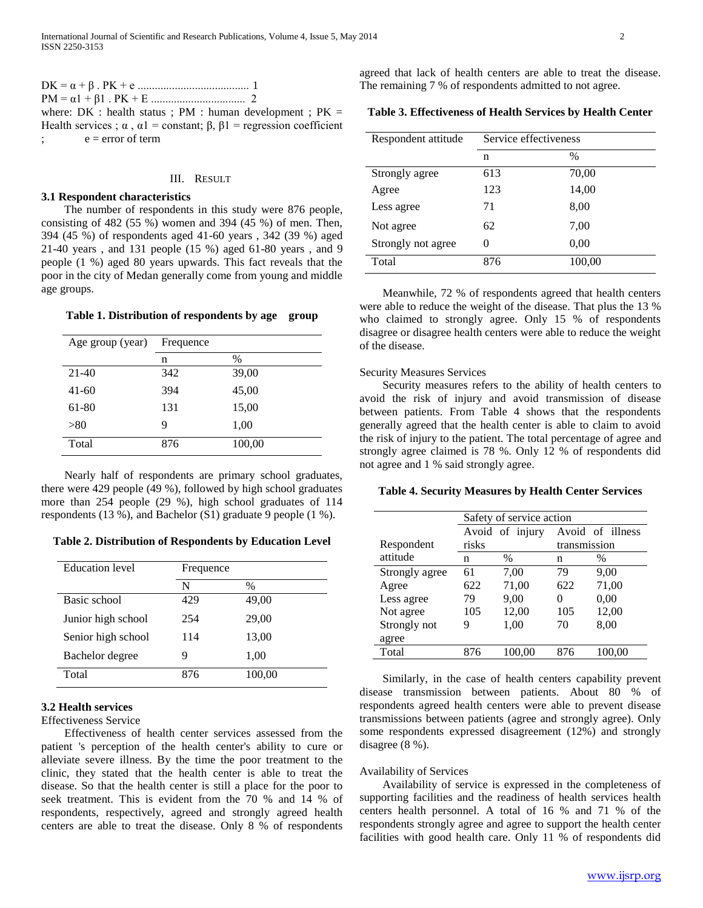$$
DK = \alpha + \beta
$$
. PK + e \n
$$
PM = \alpha 1 + \beta 1
$$
. PK + E \n
$$
PM = \alpha 1 + \beta 1
$$
. PK + E \n
$$
P M = 2
$$
\nwhere: DK : health status ; PM : human development ; PK = Health services ;  $\alpha$ ,  $\alpha 1$  = constant;  $\beta$ ,  $\beta 1$  = regression coefficient ;  $e$  = error of term

## III. RESULT

# **3.1 Respondent characteristics**

 The number of respondents in this study were 876 people, consisting of 482 (55 %) women and 394 (45 %) of men. Then, 394 (45 %) of respondents aged 41-60 years , 342 (39 %) aged 21-40 years , and 131 people (15 %) aged 61-80 years , and 9 people (1 %) aged 80 years upwards. This fact reveals that the poor in the city of Medan generally come from young and middle age groups.

# **Table 1. Distribution of respondents by age group**

| Age group (year) | Frequence |        |  |
|------------------|-----------|--------|--|
|                  | n         | $\%$   |  |
| $21-40$          | 342       | 39,00  |  |
| $41-60$          | 394       | 45,00  |  |
| 61-80            | 131       | 15,00  |  |
| > 80             | 9         | 1,00   |  |
| Total            | 876       | 100,00 |  |

 Nearly half of respondents are primary school graduates, there were 429 people (49 %), followed by high school graduates more than 254 people (29 %), high school graduates of 114 respondents (13 %), and Bachelor (S1) graduate 9 people (1 %).

**Table 2. Distribution of Respondents by Education Level**

| <b>Education</b> level | Frequence |        |
|------------------------|-----------|--------|
|                        | N         | $\%$   |
| Basic school           | 429       | 49,00  |
| Junior high school     | 254       | 29,00  |
| Senior high school     | 114       | 13,00  |
| Bachelor degree        | 9         | 1,00   |
| Total                  | 876       | 100,00 |

# **3.2 Health services**

Effectiveness Service

 Effectiveness of health center services assessed from the patient 's perception of the health center's ability to cure or alleviate severe illness. By the time the poor treatment to the clinic, they stated that the health center is able to treat the disease. So that the health center is still a place for the poor to seek treatment. This is evident from the 70 % and 14 % of respondents, respectively, agreed and strongly agreed health centers are able to treat the disease. Only 8 % of respondents

agreed that lack of health centers are able to treat the disease. The remaining 7 % of respondents admitted to not agree.

**Table 3. Effectiveness of Health Services by Health Center**

| Respondent attitude | Service effectiveness |        |  |
|---------------------|-----------------------|--------|--|
|                     | n                     | $\%$   |  |
| Strongly agree      | 613                   | 70,00  |  |
| Agree               | 123                   | 14,00  |  |
| Less agree          | 71                    | 8,00   |  |
| Not agree           | 62                    | 7,00   |  |
| Strongly not agree  | $\theta$              | 0,00   |  |
| Total               | 876                   | 100,00 |  |

 Meanwhile, 72 % of respondents agreed that health centers were able to reduce the weight of the disease. That plus the 13 % who claimed to strongly agree. Only 15 % of respondents disagree or disagree health centers were able to reduce the weight of the disease.

## Security Measures Services

 Security measures refers to the ability of health centers to avoid the risk of injury and avoid transmission of disease between patients. From Table 4 shows that the respondents generally agreed that the health center is able to claim to avoid the risk of injury to the patient. The total percentage of agree and strongly agree claimed is 78 %. Only 12 % of respondents did not agree and 1 % said strongly agree.

## **Table 4. Security Measures by Health Center Services**

|                | Safety of service action |                 |              |                  |
|----------------|--------------------------|-----------------|--------------|------------------|
|                |                          | Avoid of injury |              | Avoid of illness |
| Respondent     | risks                    |                 | transmission |                  |
| attitude       | n                        | $\%$            | n            | $\%$             |
| Strongly agree | 61                       | 7,00            | 79           | 9,00             |
| Agree          | 622                      | 71,00           | 622          | 71,00            |
| Less agree     | 79                       | 9,00            | 0            | 0,00             |
| Not agree      | 105                      | 12,00           | 105          | 12,00            |
| Strongly not   | 9                        | 1,00            | 70           | 8,00             |
| agree          |                          |                 |              |                  |
| Total          | 876                      | 100.00          | 876          | 100.00           |

 Similarly, in the case of health centers capability prevent disease transmission between patients. About 80 % of respondents agreed health centers were able to prevent disease transmissions between patients (agree and strongly agree). Only some respondents expressed disagreement (12%) and strongly disagree (8 %).

## Availability of Services

 Availability of service is expressed in the completeness of supporting facilities and the readiness of health services health centers health personnel. A total of 16 % and 71 % of the respondents strongly agree and agree to support the health center facilities with good health care. Only 11 % of respondents did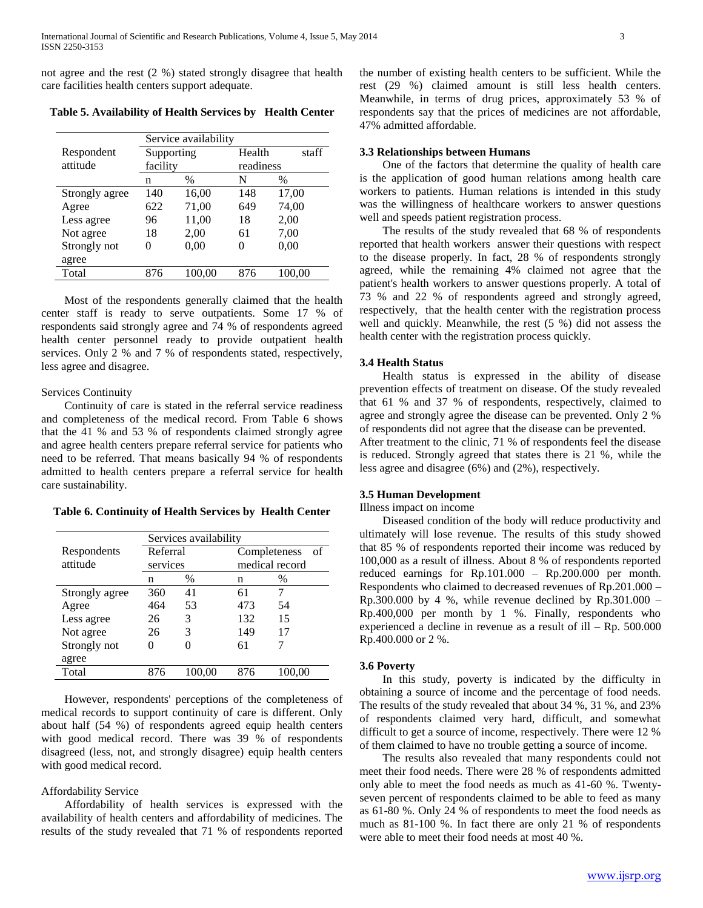not agree and the rest (2 %) stated strongly disagree that health care facilities health centers support adequate.

|                | Service availability |        |          |           |  |
|----------------|----------------------|--------|----------|-----------|--|
| Respondent     | Supporting           |        | Health   | staff     |  |
| attitude       | facility             |        |          | readiness |  |
|                | n                    | $\%$   | N        | $\%$      |  |
| Strongly agree | 140                  | 16,00  | 148      | 17,00     |  |
| Agree          | 622                  | 71,00  | 649      | 74,00     |  |
| Less agree     | 96                   | 11,00  | 18       | 2,00      |  |
| Not agree      | 18                   | 2,00   | 61       | 7,00      |  |
| Strongly not   | 0                    | 0,00   | $\theta$ | 0,00      |  |
| agree          |                      |        |          |           |  |
| Total          | 876                  | 100.00 | 876      | 100.00    |  |

**Table 5. Availability of Health Services by Health Center**

 Most of the respondents generally claimed that the health center staff is ready to serve outpatients. Some 17 % of respondents said strongly agree and 74 % of respondents agreed health center personnel ready to provide outpatient health services. Only 2 % and 7 % of respondents stated, respectively, less agree and disagree.

## Services Continuity

 Continuity of care is stated in the referral service readiness and completeness of the medical record. From Table 6 shows that the 41 % and 53 % of respondents claimed strongly agree and agree health centers prepare referral service for patients who need to be referred. That means basically 94 % of respondents admitted to health centers prepare a referral service for health care sustainability.

**Table 6. Continuity of Health Services by Health Center**

|                | Services availability |          |     |                    |
|----------------|-----------------------|----------|-----|--------------------|
| Respondents    |                       | Referral |     | Completeness<br>of |
| attitude       |                       | services |     | medical record     |
|                | n                     | $\%$     | n   | $\%$               |
| Strongly agree | 360                   | 41       | 61  |                    |
| Agree          | 464                   | 53       | 473 | 54                 |
| Less agree     | 26                    | 3        | 132 | 15                 |
| Not agree      | 26                    | 3        | 149 | 17                 |
| Strongly not   | 0                     | 0        | 61  |                    |
| agree          |                       |          |     |                    |
| Total          | 876                   | 100.00   | 876 | 100.00             |

 However, respondents' perceptions of the completeness of medical records to support continuity of care is different. Only about half (54 %) of respondents agreed equip health centers with good medical record. There was 39 % of respondents disagreed (less, not, and strongly disagree) equip health centers with good medical record.

## Affordability Service

 Affordability of health services is expressed with the availability of health centers and affordability of medicines. The results of the study revealed that 71 % of respondents reported the number of existing health centers to be sufficient. While the rest (29 %) claimed amount is still less health centers. Meanwhile, in terms of drug prices, approximately 53 % of respondents say that the prices of medicines are not affordable, 47% admitted affordable.

# **3.3 Relationships between Humans**

 One of the factors that determine the quality of health care is the application of good human relations among health care workers to patients. Human relations is intended in this study was the willingness of healthcare workers to answer questions well and speeds patient registration process.

 The results of the study revealed that 68 % of respondents reported that health workers answer their questions with respect to the disease properly. In fact, 28 % of respondents strongly agreed, while the remaining 4% claimed not agree that the patient's health workers to answer questions properly. A total of 73 % and 22 % of respondents agreed and strongly agreed, respectively, that the health center with the registration process well and quickly. Meanwhile, the rest (5 %) did not assess the health center with the registration process quickly.

#### **3.4 Health Status**

 Health status is expressed in the ability of disease prevention effects of treatment on disease. Of the study revealed that 61 % and 37 % of respondents, respectively, claimed to agree and strongly agree the disease can be prevented. Only 2 % of respondents did not agree that the disease can be prevented.

After treatment to the clinic, 71 % of respondents feel the disease is reduced. Strongly agreed that states there is 21 %, while the less agree and disagree (6%) and (2%), respectively.

# **3.5 Human Development**

Illness impact on income

 Diseased condition of the body will reduce productivity and ultimately will lose revenue. The results of this study showed that 85 % of respondents reported their income was reduced by 100,000 as a result of illness. About 8 % of respondents reported reduced earnings for Rp.101.000 – Rp.200.000 per month. Respondents who claimed to decreased revenues of Rp.201.000 – Rp.300.000 by 4 %, while revenue declined by Rp.301.000 – Rp.400,000 per month by 1 %. Finally, respondents who experienced a decline in revenue as a result of ill – Rp. 500.000 Rp.400.000 or 2 %.

## **3.6 Poverty**

 In this study, poverty is indicated by the difficulty in obtaining a source of income and the percentage of food needs. The results of the study revealed that about 34 %, 31 %, and 23% of respondents claimed very hard, difficult, and somewhat difficult to get a source of income, respectively. There were 12 % of them claimed to have no trouble getting a source of income.

 The results also revealed that many respondents could not meet their food needs. There were 28 % of respondents admitted only able to meet the food needs as much as 41-60 %. Twentyseven percent of respondents claimed to be able to feed as many as 61-80 %. Only 24 % of respondents to meet the food needs as much as 81-100 %. In fact there are only 21 % of respondents were able to meet their food needs at most 40 %.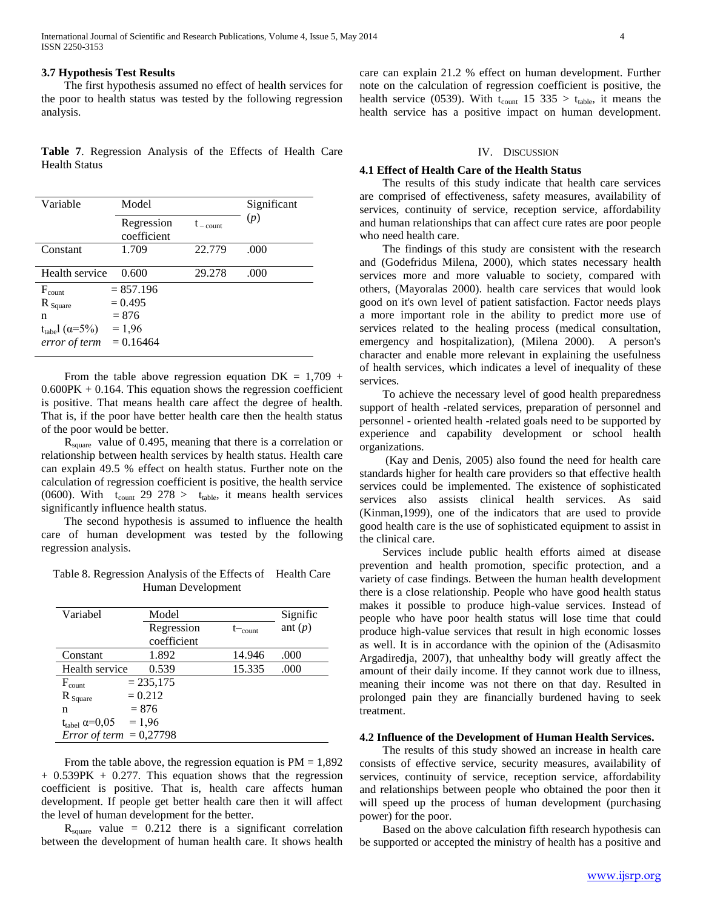## **3.7 Hypothesis Test Results**

 The first hypothesis assumed no effect of health services for the poor to health status was tested by the following regression analysis.

**Table 7**. Regression Analysis of the Effects of Health Care Health Status

| Variable                                | Model                     |                    |      |
|-----------------------------------------|---------------------------|--------------------|------|
|                                         | Regression<br>coefficient | $t_{\rm -\,count}$ | (p)  |
| Constant                                | 1.709                     | 22.779             | .000 |
| Health service                          | 0.600                     | 29.278             | .000 |
| $F_{\text{count}}$                      | $= 857.196$               |                    |      |
| $R_{Square}$                            | $= 0.495$                 |                    |      |
| n                                       | $= 876$                   |                    |      |
| $t_{\text{table}}$ l ( $\alpha = 5\%$ ) | $= 1,96$                  |                    |      |
| error of term                           | $= 0.16464$               |                    |      |

From the table above regression equation  $DK = 1,709 +$  $0.600PK + 0.164$ . This equation shows the regression coefficient is positive. That means health care affect the degree of health. That is, if the poor have better health care then the health status of the poor would be better.

 Rsquare value of 0.495, meaning that there is a correlation or relationship between health services by health status. Health care can explain 49.5 % effect on health status. Further note on the calculation of regression coefficient is positive, the health service (0600). With  $t_{\text{count}}$  29 278 >  $t_{\text{table}}$ , it means health services significantly influence health status.

 The second hypothesis is assumed to influence the health care of human development was tested by the following regression analysis.

Table 8. Regression Analysis of the Effects of Health Care Human Development

| Variabel                           | Model       |                  | Signific  |
|------------------------------------|-------------|------------------|-----------|
|                                    | Regression  | $t_{\rm -count}$ | ant $(p)$ |
|                                    | coefficient |                  |           |
| Constant                           | 1.892       | 14.946           | .000      |
| Health service                     | 0.539       | 15.335           | .000      |
| $F_{\text{count}}$                 | $= 235,175$ |                  |           |
| $R_{\text{Square}}$                | $= 0.212$   |                  |           |
| n                                  | $= 876$     |                  |           |
| $t_{\text{table}}$ $\alpha = 0.05$ | $= 1,96$    |                  |           |
| <i>Error of term</i> = $0,27798$   |             |                  |           |

From the table above, the regression equation is  $PM = 1,892$  $+ 0.539PK + 0.277$ . This equation shows that the regression coefficient is positive. That is, health care affects human development. If people get better health care then it will affect the level of human development for the better.

 $R_{square}$  value = 0.212 there is a significant correlation between the development of human health care. It shows health care can explain 21.2 % effect on human development. Further note on the calculation of regression coefficient is positive, the health service (0539). With  $t_{\text{count}}$  15 335 >  $t_{\text{table}}$ , it means the health service has a positive impact on human development.

## IV. DISCUSSION

## **4.1 Effect of Health Care of the Health Status**

 The results of this study indicate that health care services are comprised of effectiveness, safety measures, availability of services, continuity of service, reception service, affordability and human relationships that can affect cure rates are poor people who need health care.

 The findings of this study are consistent with the research and (Godefridus Milena, 2000), which states necessary health services more and more valuable to society, compared with others, (Mayoralas 2000). health care services that would look good on it's own level of patient satisfaction. Factor needs plays a more important role in the ability to predict more use of services related to the healing process (medical consultation, emergency and hospitalization), (Milena 2000). A person's character and enable more relevant in explaining the usefulness of health services, which indicates a level of inequality of these services.

 To achieve the necessary level of good health preparedness support of health -related services, preparation of personnel and personnel - oriented health -related goals need to be supported by experience and capability development or school health organizations.

 (Kay and Denis, 2005) also found the need for health care standards higher for health care providers so that effective health services could be implemented. The existence of sophisticated services also assists clinical health services. As said (Kinman,1999), one of the indicators that are used to provide good health care is the use of sophisticated equipment to assist in the clinical care.

 Services include public health efforts aimed at disease prevention and health promotion, specific protection, and a variety of case findings. Between the human health development there is a close relationship. People who have good health status makes it possible to produce high-value services. Instead of people who have poor health status will lose time that could produce high-value services that result in high economic losses as well. It is in accordance with the opinion of the (Adisasmito Argadiredja, 2007), that unhealthy body will greatly affect the amount of their daily income. If they cannot work due to illness, meaning their income was not there on that day. Resulted in prolonged pain they are financially burdened having to seek treatment.

## **4.2 Influence of the Development of Human Health Services.**

 The results of this study showed an increase in health care consists of effective service, security measures, availability of services, continuity of service, reception service, affordability and relationships between people who obtained the poor then it will speed up the process of human development (purchasing power) for the poor.

 Based on the above calculation fifth research hypothesis can be supported or accepted the ministry of health has a positive and